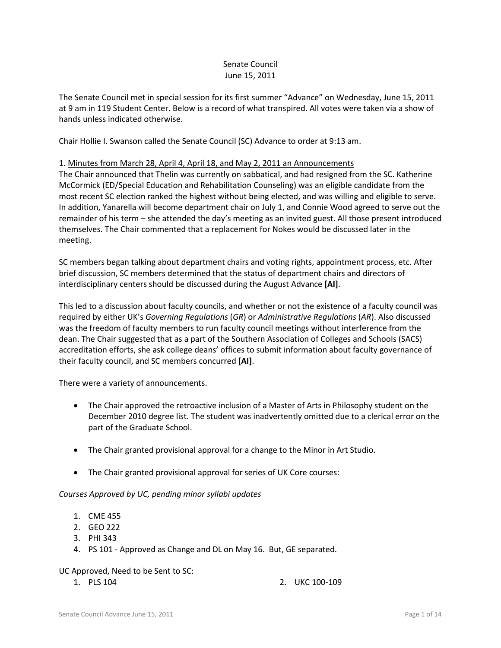## Senate Council June 15, 2011

The Senate Council met in special session for its first summer "Advance" on Wednesday, June 15, 2011 at 9 am in 119 Student Center. Below is a record of what transpired. All votes were taken via a show of hands unless indicated otherwise.

Chair Hollie I. Swanson called the Senate Council (SC) Advance to order at 9:13 am.

## 1. Minutes from March 28, April 4, April 18, and May 2, 2011 an Announcements

The Chair announced that Thelin was currently on sabbatical, and had resigned from the SC. Katherine McCormick (ED/Special Education and Rehabilitation Counseling) was an eligible candidate from the most recent SC election ranked the highest without being elected, and was willing and eligible to serve. In addition, Yanarella will become department chair on July 1, and Connie Wood agreed to serve out the remainder of his term – she attended the day's meeting as an invited guest. All those present introduced themselves. The Chair commented that a replacement for Nokes would be discussed later in the meeting.

SC members began talking about department chairs and voting rights, appointment process, etc. After brief discussion, SC members determined that the status of department chairs and directors of interdisciplinary centers should be discussed during the August Advance **[AI]**.

This led to a discussion about faculty councils, and whether or not the existence of a faculty council was required by either UK's *Governing Regulations* (*GR*) or *Administrative Regulations* (*AR*). Also discussed was the freedom of faculty members to run faculty council meetings without interference from the dean. The Chair suggested that as a part of the Southern Association of Colleges and Schools (SACS) accreditation efforts, she ask college deans' offices to submit information about faculty governance of their faculty council, and SC members concurred **[AI]**.

There were a variety of announcements.

- The Chair approved the retroactive inclusion of a Master of Arts in Philosophy student on the December 2010 degree list. The student was inadvertently omitted due to a clerical error on the part of the Graduate School.
- The Chair granted provisional approval for a change to the Minor in Art Studio.
- The Chair granted provisional approval for series of UK Core courses:

#### *Courses Approved by UC, pending minor syllabi updates*

- 1. CME 455
- 2. GEO 222
- 3. PHI 343
- 4. PS 101 Approved as Change and DL on May 16. But, GE separated.

#### UC Approved, Need to be Sent to SC:

1. PLS 104 2. UKC 100-109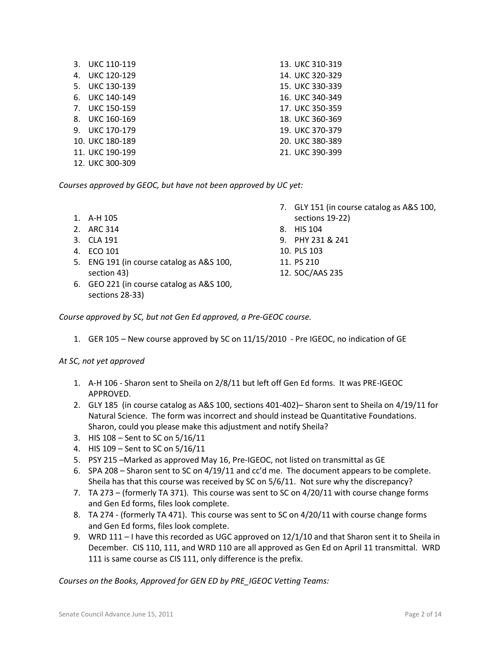|     | 3. UKC 110-119     | 13. UKC 310-319 |
|-----|--------------------|-----------------|
| 4.  | UKC 120-129        | 14. UKC 320-329 |
| .5. | UKC 130-139        | 15. UKC 330-339 |
|     | 6. UKC 140-149     | 16. UKC 340-349 |
| 7.  | <b>UKC 150-159</b> | 17. UKC 350-359 |
| 8.  | UKC 160-169        | 18. UKC 360-369 |
|     | 9. UKC 170-179     | 19. UKC 370-379 |
|     | 10. UKC 180-189    | 20. UKC 380-389 |
|     | 11. UKC 190-199    | 21. UKC 390-399 |
|     | 12. UKC 300-309    |                 |

*Courses approved by GEOC, but have not been approved by UC yet:*

- 1. A-H 105
- 2. ARC 314
- 3. CLA 191
- 4. ECO 101
- 5. ENG 191 (in course catalog as A&S 100, section 43)
- 6. GEO 221 (in course catalog as A&S 100, sections 28-33)
- 7. GLY 151 (in course catalog as A&S 100, sections 19-22)
- 8. HIS 104
- 9. PHY 231 & 241
- 10. PLS 103
- 11. PS 210
- 12. SOC/AAS 235

*Course approved by SC, but not Gen Ed approved, a Pre-GEOC course.*

1. GER 105 – New course approved by SC on 11/15/2010 - Pre IGEOC, no indication of GE

## *At SC, not yet approved*

- 1. A-H 106 Sharon sent to Sheila on 2/8/11 but left off Gen Ed forms. It was PRE-IGEOC APPROVED.
- 2. GLY 185 (in course catalog as A&S 100, sections 401-402)– Sharon sent to Sheila on 4/19/11 for Natural Science. The form was incorrect and should instead be Quantitative Foundations. Sharon, could you please make this adjustment and notify Sheila?
- 3. HIS 108 Sent to SC on 5/16/11
- 4. HIS 109 Sent to SC on 5/16/11
- 5. PSY 215 –Marked as approved May 16, Pre-IGEOC, not listed on transmittal as GE
- 6. SPA 208 Sharon sent to SC on 4/19/11 and cc'd me. The document appears to be complete. Sheila has that this course was received by SC on 5/6/11. Not sure why the discrepancy?
- 7. TA 273 (formerly TA 371). This course was sent to SC on 4/20/11 with course change forms and Gen Ed forms, files look complete.
- 8. TA 274 (formerly TA 471). This course was sent to SC on 4/20/11 with course change forms and Gen Ed forms, files look complete.
- 9. WRD 111 I have this recorded as UGC approved on 12/1/10 and that Sharon sent it to Sheila in December. CIS 110, 111, and WRD 110 are all approved as Gen Ed on April 11 transmittal. WRD 111 is same course as CIS 111, only difference is the prefix.

*Courses on the Books, Approved for GEN ED by PRE\_IGEOC Vetting Teams:*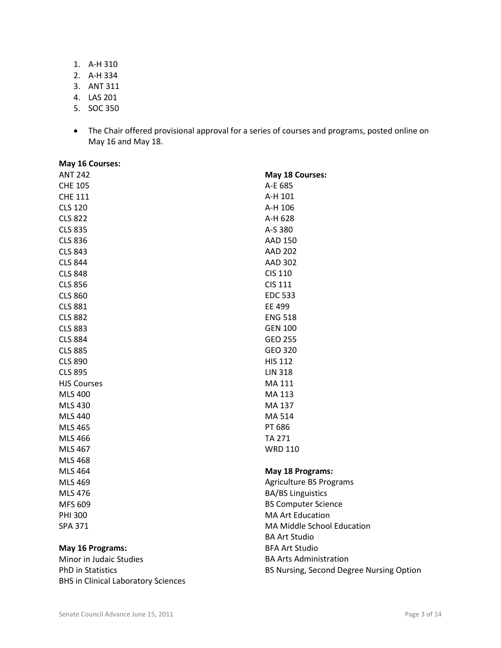1. A-H 310

- 2. A-H 334
- 3. ANT 311
- 4. LAS 201
- 5. SOC 350
- The Chair offered provisional approval for a series of courses and programs, posted online on May 16 and May 18.

| May 16 Courses:    |                            |
|--------------------|----------------------------|
| <b>ANT 242</b>     | May 18 Courses:            |
| <b>CHE 105</b>     | A-E 685                    |
| <b>CHE 111</b>     | A-H 101                    |
| <b>CLS 120</b>     | A-H 106                    |
| <b>CLS 822</b>     | A-H 628                    |
| <b>CLS 835</b>     | A-S 380                    |
| <b>CLS 836</b>     | AAD 150                    |
| <b>CLS 843</b>     | <b>AAD 202</b>             |
| <b>CLS 844</b>     | <b>AAD 302</b>             |
| <b>CLS 848</b>     | <b>CIS 110</b>             |
| <b>CLS 856</b>     | <b>CIS 111</b>             |
| <b>CLS 860</b>     | <b>EDC 533</b>             |
| <b>CLS 881</b>     | EE 499                     |
| <b>CLS 882</b>     | <b>ENG 518</b>             |
| <b>CLS 883</b>     | <b>GEN 100</b>             |
| <b>CLS 884</b>     | GEO 255                    |
| <b>CLS 885</b>     | GEO 320                    |
| <b>CLS 890</b>     | <b>HIS 112</b>             |
| <b>CLS 895</b>     | <b>LIN 318</b>             |
| <b>HJS Courses</b> | MA 111                     |
| <b>MLS 400</b>     | MA 113                     |
| MLS 430            | MA 137                     |
| <b>MLS 440</b>     | MA 514                     |
| <b>MLS 465</b>     | PT 686                     |
| MLS 466            | <b>TA 271</b>              |
| MLS 467            | <b>WRD 110</b>             |
| <b>MLS 468</b>     |                            |
| <b>MLS 464</b>     | May 18 Programs:           |
| MLS 469            | Agriculture BS Programs    |
| MLS 476            | <b>BA/BS Linguistics</b>   |
| MFS 609            | <b>BS Computer Science</b> |
| <b>PHI 300</b>     | <b>MA Art Education</b>    |
| <b>SPA 371</b>     | MA Middle School Education |
|                    | <b>BA Art Studio</b>       |
| May 16 Programs:   | <b>BFA Art Studio</b>      |

Minor in Judaic Studies PhD in Statistics BHS in Clinical Laboratory Sciences BA Arts Administration

BS Nursing, Second Degree Nursing Option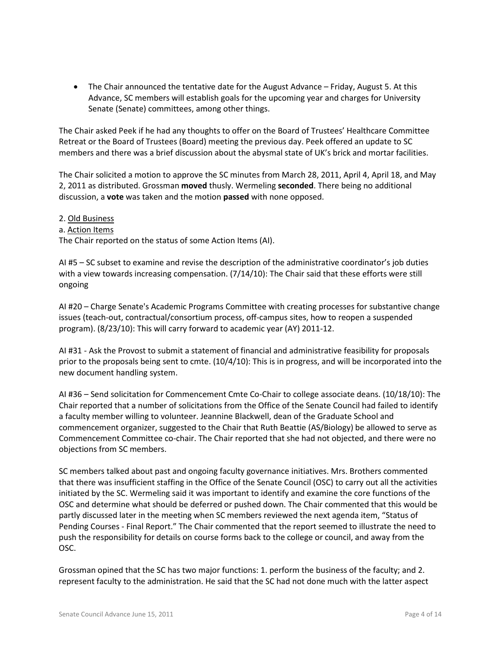• The Chair announced the tentative date for the August Advance – Friday, August 5. At this Advance, SC members will establish goals for the upcoming year and charges for University Senate (Senate) committees, among other things.

The Chair asked Peek if he had any thoughts to offer on the Board of Trustees' Healthcare Committee Retreat or the Board of Trustees (Board) meeting the previous day. Peek offered an update to SC members and there was a brief discussion about the abysmal state of UK's brick and mortar facilities.

The Chair solicited a motion to approve the SC minutes from March 28, 2011, April 4, April 18, and May 2, 2011 as distributed. Grossman **moved** thusly. Wermeling **seconded**. There being no additional discussion, a **vote** was taken and the motion **passed** with none opposed.

# 2. Old Business a. Action Items The Chair reported on the status of some Action Items (AI).

AI #5 – SC subset to examine and revise the description of the administrative coordinator's job duties with a view towards increasing compensation. (7/14/10): The Chair said that these efforts were still ongoing

AI #20 – Charge Senate's Academic Programs Committee with creating processes for substantive change issues (teach-out, contractual/consortium process, off-campus sites, how to reopen a suspended program). (8/23/10): This will carry forward to academic year (AY) 2011-12.

AI #31 - Ask the Provost to submit a statement of financial and administrative feasibility for proposals prior to the proposals being sent to cmte. (10/4/10): This is in progress, and will be incorporated into the new document handling system.

AI #36 – Send solicitation for Commencement Cmte Co-Chair to college associate deans. (10/18/10): The Chair reported that a number of solicitations from the Office of the Senate Council had failed to identify a faculty member willing to volunteer. Jeannine Blackwell, dean of the Graduate School and commencement organizer, suggested to the Chair that Ruth Beattie (AS/Biology) be allowed to serve as Commencement Committee co-chair. The Chair reported that she had not objected, and there were no objections from SC members.

SC members talked about past and ongoing faculty governance initiatives. Mrs. Brothers commented that there was insufficient staffing in the Office of the Senate Council (OSC) to carry out all the activities initiated by the SC. Wermeling said it was important to identify and examine the core functions of the OSC and determine what should be deferred or pushed down. The Chair commented that this would be partly discussed later in the meeting when SC members reviewed the next agenda item, "Status of Pending Courses - Final Report." The Chair commented that the report seemed to illustrate the need to push the responsibility for details on course forms back to the college or council, and away from the OSC.

Grossman opined that the SC has two major functions: 1. perform the business of the faculty; and 2. represent faculty to the administration. He said that the SC had not done much with the latter aspect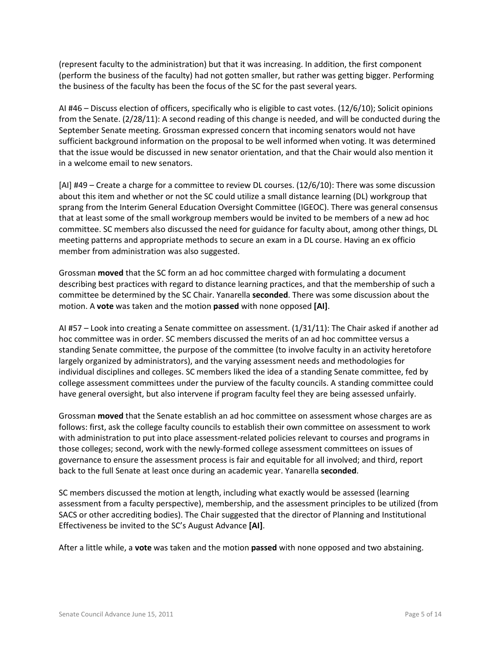(represent faculty to the administration) but that it was increasing. In addition, the first component (perform the business of the faculty) had not gotten smaller, but rather was getting bigger. Performing the business of the faculty has been the focus of the SC for the past several years.

AI #46 – Discuss election of officers, specifically who is eligible to cast votes. (12/6/10); Solicit opinions from the Senate. (2/28/11): A second reading of this change is needed, and will be conducted during the September Senate meeting. Grossman expressed concern that incoming senators would not have sufficient background information on the proposal to be well informed when voting. It was determined that the issue would be discussed in new senator orientation, and that the Chair would also mention it in a welcome email to new senators.

[AI] #49 – Create a charge for a committee to review DL courses. (12/6/10): There was some discussion about this item and whether or not the SC could utilize a small distance learning (DL) workgroup that sprang from the Interim General Education Oversight Committee (IGEOC). There was general consensus that at least some of the small workgroup members would be invited to be members of a new ad hoc committee. SC members also discussed the need for guidance for faculty about, among other things, DL meeting patterns and appropriate methods to secure an exam in a DL course. Having an ex officio member from administration was also suggested.

Grossman **moved** that the SC form an ad hoc committee charged with formulating a document describing best practices with regard to distance learning practices, and that the membership of such a committee be determined by the SC Chair. Yanarella **seconded**. There was some discussion about the motion. A **vote** was taken and the motion **passed** with none opposed **[AI]**.

AI #57 – Look into creating a Senate committee on assessment. (1/31/11): The Chair asked if another ad hoc committee was in order. SC members discussed the merits of an ad hoc committee versus a standing Senate committee, the purpose of the committee (to involve faculty in an activity heretofore largely organized by administrators), and the varying assessment needs and methodologies for individual disciplines and colleges. SC members liked the idea of a standing Senate committee, fed by college assessment committees under the purview of the faculty councils. A standing committee could have general oversight, but also intervene if program faculty feel they are being assessed unfairly.

Grossman **moved** that the Senate establish an ad hoc committee on assessment whose charges are as follows: first, ask the college faculty councils to establish their own committee on assessment to work with administration to put into place assessment-related policies relevant to courses and programs in those colleges; second, work with the newly-formed college assessment committees on issues of governance to ensure the assessment process is fair and equitable for all involved; and third, report back to the full Senate at least once during an academic year. Yanarella **seconded**.

SC members discussed the motion at length, including what exactly would be assessed (learning assessment from a faculty perspective), membership, and the assessment principles to be utilized (from SACS or other accrediting bodies). The Chair suggested that the director of Planning and Institutional Effectiveness be invited to the SC's August Advance **[AI]**.

After a little while, a **vote** was taken and the motion **passed** with none opposed and two abstaining.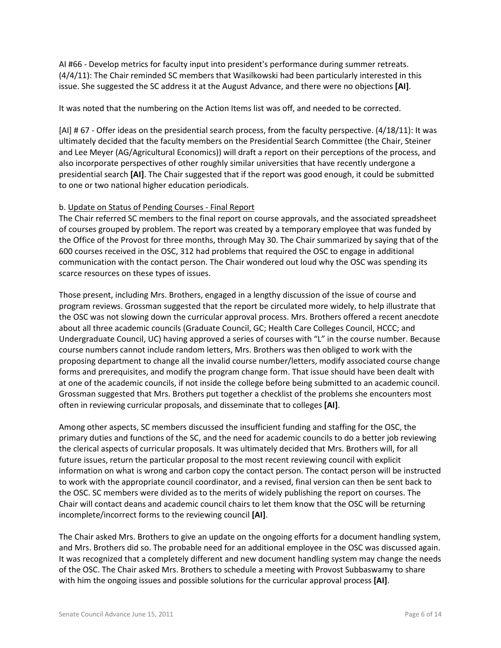AI #66 - Develop metrics for faculty input into president's performance during summer retreats. (4/4/11): The Chair reminded SC members that Wasilkowski had been particularly interested in this issue. She suggested the SC address it at the August Advance, and there were no objections **[AI]**.

It was noted that the numbering on the Action Items list was off, and needed to be corrected.

[AI] # 67 - Offer ideas on the presidential search process, from the faculty perspective. (4/18/11): It was ultimately decided that the faculty members on the Presidential Search Committee (the Chair, Steiner and Lee Meyer (AG/Agricultural Economics)) will draft a report on their perceptions of the process, and also incorporate perspectives of other roughly similar universities that have recently undergone a presidential search **[AI]**. The Chair suggested that if the report was good enough, it could be submitted to one or two national higher education periodicals.

## b. Update on Status of Pending Courses - Final Report

The Chair referred SC members to the final report on course approvals, and the associated spreadsheet of courses grouped by problem. The report was created by a temporary employee that was funded by the Office of the Provost for three months, through May 30. The Chair summarized by saying that of the 600 courses received in the OSC, 312 had problems that required the OSC to engage in additional communication with the contact person. The Chair wondered out loud why the OSC was spending its scarce resources on these types of issues.

Those present, including Mrs. Brothers, engaged in a lengthy discussion of the issue of course and program reviews. Grossman suggested that the report be circulated more widely, to help illustrate that the OSC was not slowing down the curricular approval process. Mrs. Brothers offered a recent anecdote about all three academic councils (Graduate Council, GC; Health Care Colleges Council, HCCC; and Undergraduate Council, UC) having approved a series of courses with "L" in the course number. Because course numbers cannot include random letters, Mrs. Brothers was then obliged to work with the proposing department to change all the invalid course number/letters, modify associated course change forms and prerequisites, and modify the program change form. That issue should have been dealt with at one of the academic councils, if not inside the college before being submitted to an academic council. Grossman suggested that Mrs. Brothers put together a checklist of the problems she encounters most often in reviewing curricular proposals, and disseminate that to colleges **[AI]**.

Among other aspects, SC members discussed the insufficient funding and staffing for the OSC, the primary duties and functions of the SC, and the need for academic councils to do a better job reviewing the clerical aspects of curricular proposals. It was ultimately decided that Mrs. Brothers will, for all future issues, return the particular proposal to the most recent reviewing council with explicit information on what is wrong and carbon copy the contact person. The contact person will be instructed to work with the appropriate council coordinator, and a revised, final version can then be sent back to the OSC. SC members were divided as to the merits of widely publishing the report on courses. The Chair will contact deans and academic council chairs to let them know that the OSC will be returning incomplete/incorrect forms to the reviewing council **[AI]**.

The Chair asked Mrs. Brothers to give an update on the ongoing efforts for a document handling system, and Mrs. Brothers did so. The probable need for an additional employee in the OSC was discussed again. It was recognized that a completely different and new document handling system may change the needs of the OSC. The Chair asked Mrs. Brothers to schedule a meeting with Provost Subbaswamy to share with him the ongoing issues and possible solutions for the curricular approval process **[AI]**.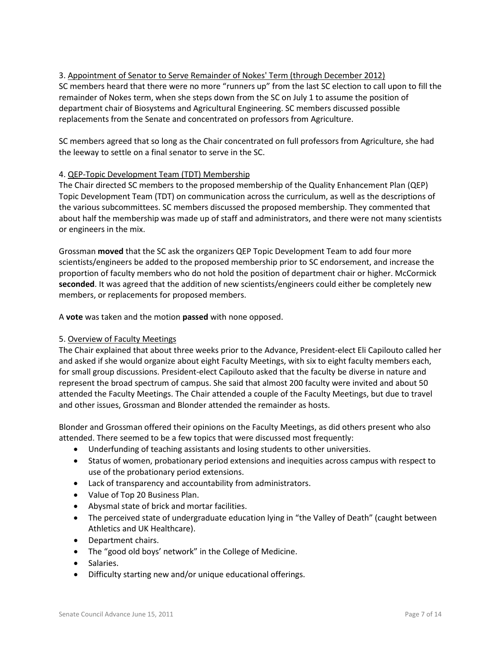# 3. Appointment of Senator to Serve Remainder of Nokes' Term (through December 2012) SC members heard that there were no more "runners up" from the last SC election to call upon to fill the remainder of Nokes term, when she steps down from the SC on July 1 to assume the position of department chair of Biosystems and Agricultural Engineering. SC members discussed possible replacements from the Senate and concentrated on professors from Agriculture.

SC members agreed that so long as the Chair concentrated on full professors from Agriculture, she had the leeway to settle on a final senator to serve in the SC.

# 4. QEP-Topic Development Team (TDT) Membership

The Chair directed SC members to the proposed membership of the Quality Enhancement Plan (QEP) Topic Development Team (TDT) on communication across the curriculum, as well as the descriptions of the various subcommittees. SC members discussed the proposed membership. They commented that about half the membership was made up of staff and administrators, and there were not many scientists or engineers in the mix.

Grossman **moved** that the SC ask the organizers QEP Topic Development Team to add four more scientists/engineers be added to the proposed membership prior to SC endorsement, and increase the proportion of faculty members who do not hold the position of department chair or higher. McCormick **seconded**. It was agreed that the addition of new scientists/engineers could either be completely new members, or replacements for proposed members.

A **vote** was taken and the motion **passed** with none opposed.

## 5. Overview of Faculty Meetings

The Chair explained that about three weeks prior to the Advance, President-elect Eli Capilouto called her and asked if she would organize about eight Faculty Meetings, with six to eight faculty members each, for small group discussions. President-elect Capilouto asked that the faculty be diverse in nature and represent the broad spectrum of campus. She said that almost 200 faculty were invited and about 50 attended the Faculty Meetings. The Chair attended a couple of the Faculty Meetings, but due to travel and other issues, Grossman and Blonder attended the remainder as hosts.

Blonder and Grossman offered their opinions on the Faculty Meetings, as did others present who also attended. There seemed to be a few topics that were discussed most frequently:

- Underfunding of teaching assistants and losing students to other universities.
- Status of women, probationary period extensions and inequities across campus with respect to use of the probationary period extensions.
- Lack of transparency and accountability from administrators.
- Value of Top 20 Business Plan.
- Abysmal state of brick and mortar facilities.
- The perceived state of undergraduate education lying in "the Valley of Death" (caught between Athletics and UK Healthcare).
- Department chairs.
- The "good old boys' network" in the College of Medicine.
- Salaries.
- Difficulty starting new and/or unique educational offerings.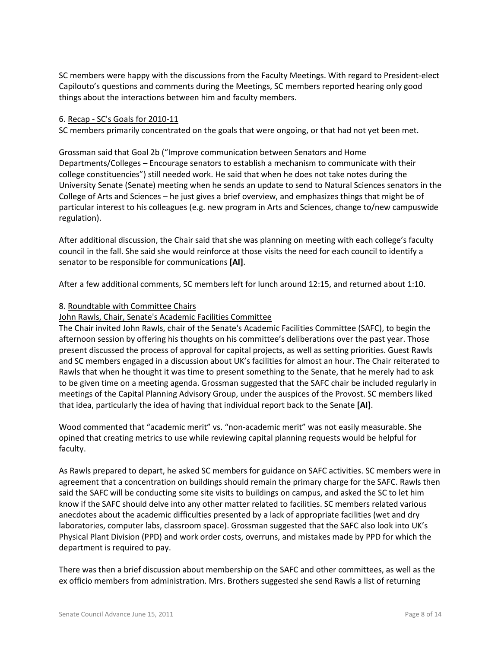SC members were happy with the discussions from the Faculty Meetings. With regard to President-elect Capilouto's questions and comments during the Meetings, SC members reported hearing only good things about the interactions between him and faculty members.

### 6. Recap - SC's Goals for 2010-11

SC members primarily concentrated on the goals that were ongoing, or that had not yet been met.

Grossman said that Goal 2b ("Improve communication between Senators and Home Departments/Colleges – Encourage senators to establish a mechanism to communicate with their college constituencies") still needed work. He said that when he does not take notes during the University Senate (Senate) meeting when he sends an update to send to Natural Sciences senators in the College of Arts and Sciences – he just gives a brief overview, and emphasizes things that might be of particular interest to his colleagues (e.g. new program in Arts and Sciences, change to/new campuswide regulation).

After additional discussion, the Chair said that she was planning on meeting with each college's faculty council in the fall. She said she would reinforce at those visits the need for each council to identify a senator to be responsible for communications **[AI]**.

After a few additional comments, SC members left for lunch around 12:15, and returned about 1:10.

### 8. Roundtable with Committee Chairs

### John Rawls, Chair, Senate's Academic Facilities Committee

The Chair invited John Rawls, chair of the Senate's Academic Facilities Committee (SAFC), to begin the afternoon session by offering his thoughts on his committee's deliberations over the past year. Those present discussed the process of approval for capital projects, as well as setting priorities. Guest Rawls and SC members engaged in a discussion about UK's facilities for almost an hour. The Chair reiterated to Rawls that when he thought it was time to present something to the Senate, that he merely had to ask to be given time on a meeting agenda. Grossman suggested that the SAFC chair be included regularly in meetings of the Capital Planning Advisory Group, under the auspices of the Provost. SC members liked that idea, particularly the idea of having that individual report back to the Senate **[AI]**.

Wood commented that "academic merit" vs. "non-academic merit" was not easily measurable. She opined that creating metrics to use while reviewing capital planning requests would be helpful for faculty.

As Rawls prepared to depart, he asked SC members for guidance on SAFC activities. SC members were in agreement that a concentration on buildings should remain the primary charge for the SAFC. Rawls then said the SAFC will be conducting some site visits to buildings on campus, and asked the SC to let him know if the SAFC should delve into any other matter related to facilities. SC members related various anecdotes about the academic difficulties presented by a lack of appropriate facilities (wet and dry laboratories, computer labs, classroom space). Grossman suggested that the SAFC also look into UK's Physical Plant Division (PPD) and work order costs, overruns, and mistakes made by PPD for which the department is required to pay.

There was then a brief discussion about membership on the SAFC and other committees, as well as the ex officio members from administration. Mrs. Brothers suggested she send Rawls a list of returning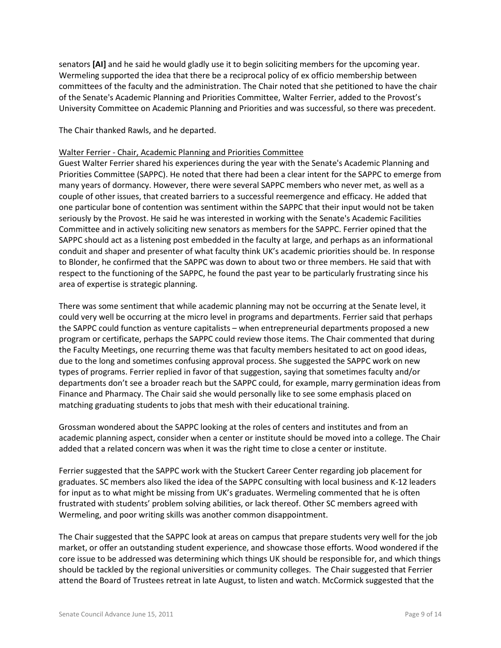senators **[AI]** and he said he would gladly use it to begin soliciting members for the upcoming year. Wermeling supported the idea that there be a reciprocal policy of ex officio membership between committees of the faculty and the administration. The Chair noted that she petitioned to have the chair of the Senate's Academic Planning and Priorities Committee, Walter Ferrier, added to the Provost's University Committee on Academic Planning and Priorities and was successful, so there was precedent.

The Chair thanked Rawls, and he departed.

### Walter Ferrier - Chair, Academic Planning and Priorities Committee

Guest Walter Ferrier shared his experiences during the year with the Senate's Academic Planning and Priorities Committee (SAPPC). He noted that there had been a clear intent for the SAPPC to emerge from many years of dormancy. However, there were several SAPPC members who never met, as well as a couple of other issues, that created barriers to a successful reemergence and efficacy. He added that one particular bone of contention was sentiment within the SAPPC that their input would not be taken seriously by the Provost. He said he was interested in working with the Senate's Academic Facilities Committee and in actively soliciting new senators as members for the SAPPC. Ferrier opined that the SAPPC should act as a listening post embedded in the faculty at large, and perhaps as an informational conduit and shaper and presenter of what faculty think UK's academic priorities should be. In response to Blonder, he confirmed that the SAPPC was down to about two or three members. He said that with respect to the functioning of the SAPPC, he found the past year to be particularly frustrating since his area of expertise is strategic planning.

There was some sentiment that while academic planning may not be occurring at the Senate level, it could very well be occurring at the micro level in programs and departments. Ferrier said that perhaps the SAPPC could function as venture capitalists – when entrepreneurial departments proposed a new program or certificate, perhaps the SAPPC could review those items. The Chair commented that during the Faculty Meetings, one recurring theme was that faculty members hesitated to act on good ideas, due to the long and sometimes confusing approval process. She suggested the SAPPC work on new types of programs. Ferrier replied in favor of that suggestion, saying that sometimes faculty and/or departments don't see a broader reach but the SAPPC could, for example, marry germination ideas from Finance and Pharmacy. The Chair said she would personally like to see some emphasis placed on matching graduating students to jobs that mesh with their educational training.

Grossman wondered about the SAPPC looking at the roles of centers and institutes and from an academic planning aspect, consider when a center or institute should be moved into a college. The Chair added that a related concern was when it was the right time to close a center or institute.

Ferrier suggested that the SAPPC work with the Stuckert Career Center regarding job placement for graduates. SC members also liked the idea of the SAPPC consulting with local business and K-12 leaders for input as to what might be missing from UK's graduates. Wermeling commented that he is often frustrated with students' problem solving abilities, or lack thereof. Other SC members agreed with Wermeling, and poor writing skills was another common disappointment.

The Chair suggested that the SAPPC look at areas on campus that prepare students very well for the job market, or offer an outstanding student experience, and showcase those efforts. Wood wondered if the core issue to be addressed was determining which things UK should be responsible for, and which things should be tackled by the regional universities or community colleges. The Chair suggested that Ferrier attend the Board of Trustees retreat in late August, to listen and watch. McCormick suggested that the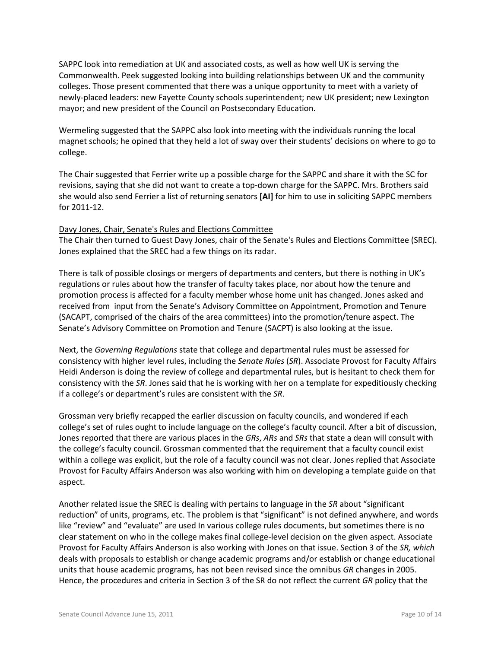SAPPC look into remediation at UK and associated costs, as well as how well UK is serving the Commonwealth. Peek suggested looking into building relationships between UK and the community colleges. Those present commented that there was a unique opportunity to meet with a variety of newly-placed leaders: new Fayette County schools superintendent; new UK president; new Lexington mayor; and new president of the Council on Postsecondary Education.

Wermeling suggested that the SAPPC also look into meeting with the individuals running the local magnet schools; he opined that they held a lot of sway over their students' decisions on where to go to college.

The Chair suggested that Ferrier write up a possible charge for the SAPPC and share it with the SC for revisions, saying that she did not want to create a top-down charge for the SAPPC. Mrs. Brothers said she would also send Ferrier a list of returning senators **[AI]** for him to use in soliciting SAPPC members for 2011-12.

## Davy Jones, Chair, Senate's Rules and Elections Committee

The Chair then turned to Guest Davy Jones, chair of the Senate's Rules and Elections Committee (SREC). Jones explained that the SREC had a few things on its radar.

There is talk of possible closings or mergers of departments and centers, but there is nothing in UK's regulations or rules about how the transfer of faculty takes place, nor about how the tenure and promotion process is affected for a faculty member whose home unit has changed. Jones asked and received from input from the Senate's Advisory Committee on Appointment, Promotion and Tenure (SACAPT, comprised of the chairs of the area committees) into the promotion/tenure aspect. The Senate's Advisory Committee on Promotion and Tenure (SACPT) is also looking at the issue.

Next, the *Governing Regulations* state that college and departmental rules must be assessed for consistency with higher level rules, including the *Senate Rules* (*SR*). Associate Provost for Faculty Affairs Heidi Anderson is doing the review of college and departmental rules, but is hesitant to check them for consistency with the *SR*. Jones said that he is working with her on a template for expeditiously checking if a college's or department's rules are consistent with the *SR*.

Grossman very briefly recapped the earlier discussion on faculty councils, and wondered if each college's set of rules ought to include language on the college's faculty council. After a bit of discussion, Jones reported that there are various places in the *GRs*, *ARs* and *SRs* that state a dean will consult with the college's faculty council. Grossman commented that the requirement that a faculty council exist within a college was explicit, but the role of a faculty council was not clear. Jones replied that Associate Provost for Faculty Affairs Anderson was also working with him on developing a template guide on that aspect.

Another related issue the SREC is dealing with pertains to language in the *SR* about "significant reduction" of units, programs, etc. The problem is that "significant" is not defined anywhere, and words like "review" and "evaluate" are used In various college rules documents, but sometimes there is no clear statement on who in the college makes final college-level decision on the given aspect. Associate Provost for Faculty Affairs Anderson is also working with Jones on that issue. Section 3 of the *SR, which*  deals with proposals to establish or change academic programs and/or establish or change educational units that house academic programs, has not been revised since the omnibus *GR* changes in 2005. Hence, the procedures and criteria in Section 3 of the SR do not reflect the current *GR* policy that the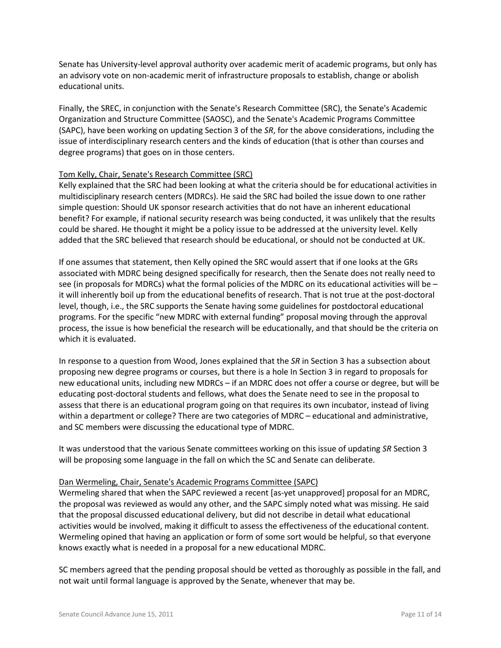Senate has University-level approval authority over academic merit of academic programs, but only has an advisory vote on non-academic merit of infrastructure proposals to establish, change or abolish educational units.

Finally, the SREC, in conjunction with the Senate's Research Committee (SRC), the Senate's Academic Organization and Structure Committee (SAOSC), and the Senate's Academic Programs Committee (SAPC), have been working on updating Section 3 of the *SR*, for the above considerations, including the issue of interdisciplinary research centers and the kinds of education (that is other than courses and degree programs) that goes on in those centers.

### Tom Kelly, Chair, Senate's Research Committee (SRC)

Kelly explained that the SRC had been looking at what the criteria should be for educational activities in multidisciplinary research centers (MDRCs). He said the SRC had boiled the issue down to one rather simple question: Should UK sponsor research activities that do not have an inherent educational benefit? For example, if national security research was being conducted, it was unlikely that the results could be shared. He thought it might be a policy issue to be addressed at the university level. Kelly added that the SRC believed that research should be educational, or should not be conducted at UK.

If one assumes that statement, then Kelly opined the SRC would assert that if one looks at the GRs associated with MDRC being designed specifically for research, then the Senate does not really need to see (in proposals for MDRCs) what the formal policies of the MDRC on its educational activities will be – it will inherently boil up from the educational benefits of research. That is not true at the post-doctoral level, though, i.e., the SRC supports the Senate having some guidelines for postdoctoral educational programs. For the specific "new MDRC with external funding" proposal moving through the approval process, the issue is how beneficial the research will be educationally, and that should be the criteria on which it is evaluated.

In response to a question from Wood, Jones explained that the *SR* in Section 3 has a subsection about proposing new degree programs or courses, but there is a hole In Section 3 in regard to proposals for new educational units, including new MDRCs – if an MDRC does not offer a course or degree, but will be educating post-doctoral students and fellows, what does the Senate need to see in the proposal to assess that there is an educational program going on that requires its own incubator, instead of living within a department or college? There are two categories of MDRC – educational and administrative, and SC members were discussing the educational type of MDRC.

It was understood that the various Senate committees working on this issue of updating *SR* Section 3 will be proposing some language in the fall on which the SC and Senate can deliberate.

#### Dan Wermeling, Chair, Senate's Academic Programs Committee (SAPC)

Wermeling shared that when the SAPC reviewed a recent [as-yet unapproved] proposal for an MDRC, the proposal was reviewed as would any other, and the SAPC simply noted what was missing. He said that the proposal discussed educational delivery, but did not describe in detail what educational activities would be involved, making it difficult to assess the effectiveness of the educational content. Wermeling opined that having an application or form of some sort would be helpful, so that everyone knows exactly what is needed in a proposal for a new educational MDRC.

SC members agreed that the pending proposal should be vetted as thoroughly as possible in the fall, and not wait until formal language is approved by the Senate, whenever that may be.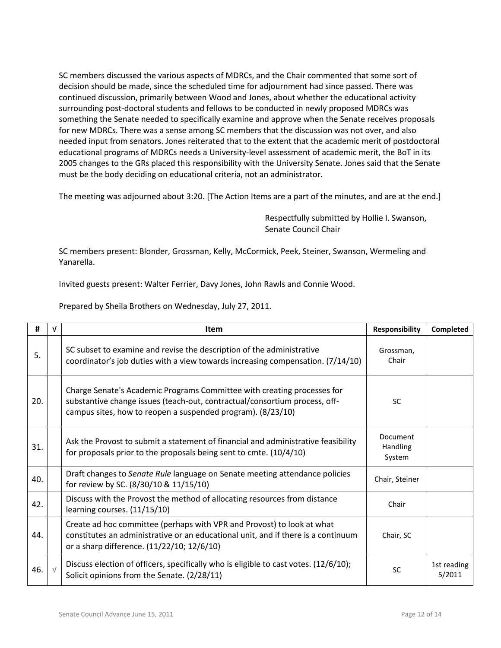SC members discussed the various aspects of MDRCs, and the Chair commented that some sort of decision should be made, since the scheduled time for adjournment had since passed. There was continued discussion, primarily between Wood and Jones, about whether the educational activity surrounding post-doctoral students and fellows to be conducted in newly proposed MDRCs was something the Senate needed to specifically examine and approve when the Senate receives proposals for new MDRCs. There was a sense among SC members that the discussion was not over, and also needed input from senators. Jones reiterated that to the extent that the academic merit of postdoctoral educational programs of MDRCs needs a University-level assessment of academic merit, the BoT in its 2005 changes to the GRs placed this responsibility with the University Senate. Jones said that the Senate must be the body deciding on educational criteria, not an administrator.

The meeting was adjourned about 3:20. [The Action Items are a part of the minutes, and are at the end.]

Respectfully submitted by Hollie I. Swanson, Senate Council Chair

SC members present: Blonder, Grossman, Kelly, McCormick, Peek, Steiner, Swanson, Wermeling and Yanarella.

Invited guests present: Walter Ferrier, Davy Jones, John Rawls and Connie Wood.

| #   | V          | <b>Item</b>                                                                                                                                                                                                          | <b>Responsibility</b>          | Completed             |
|-----|------------|----------------------------------------------------------------------------------------------------------------------------------------------------------------------------------------------------------------------|--------------------------------|-----------------------|
| 5.  |            | SC subset to examine and revise the description of the administrative<br>coordinator's job duties with a view towards increasing compensation. (7/14/10)                                                             | Grossman,<br>Chair             |                       |
| 20. |            | Charge Senate's Academic Programs Committee with creating processes for<br>substantive change issues (teach-out, contractual/consortium process, off-<br>campus sites, how to reopen a suspended program). (8/23/10) | <b>SC</b>                      |                       |
| 31. |            | Ask the Provost to submit a statement of financial and administrative feasibility<br>for proposals prior to the proposals being sent to cmte. $(10/4/10)$                                                            | Document<br>Handling<br>System |                       |
| 40. |            | Draft changes to Senate Rule language on Senate meeting attendance policies<br>for review by SC. (8/30/10 & 11/15/10)                                                                                                | Chair, Steiner                 |                       |
| 42. |            | Discuss with the Provost the method of allocating resources from distance<br>learning courses. (11/15/10)                                                                                                            | Chair                          |                       |
| 44. |            | Create ad hoc committee (perhaps with VPR and Provost) to look at what<br>constitutes an administrative or an educational unit, and if there is a continuum<br>or a sharp difference. (11/22/10; 12/6/10)            | Chair, SC                      |                       |
| 46. | $\sqrt{ }$ | Discuss election of officers, specifically who is eligible to cast votes. (12/6/10);<br>Solicit opinions from the Senate. (2/28/11)                                                                                  | <b>SC</b>                      | 1st reading<br>5/2011 |

Prepared by Sheila Brothers on Wednesday, July 27, 2011.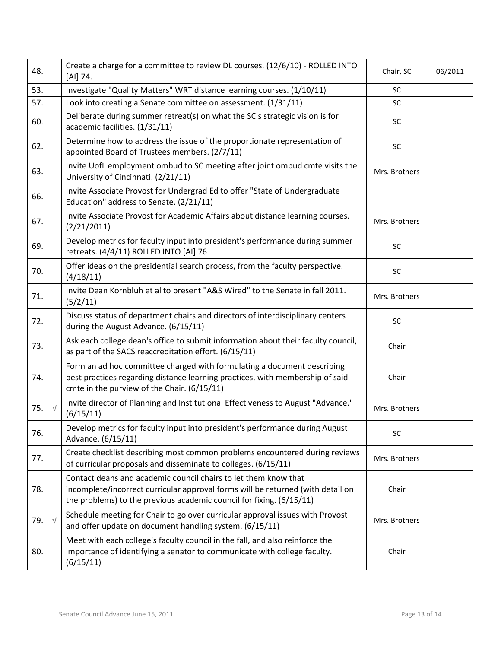| 48. | Create a charge for a committee to review DL courses. (12/6/10) - ROLLED INTO<br>[AI] 74.                                                                                                                                  | Chair, SC     | 06/2011 |
|-----|----------------------------------------------------------------------------------------------------------------------------------------------------------------------------------------------------------------------------|---------------|---------|
| 53. | Investigate "Quality Matters" WRT distance learning courses. (1/10/11)                                                                                                                                                     | <b>SC</b>     |         |
| 57. | Look into creating a Senate committee on assessment. (1/31/11)                                                                                                                                                             | <b>SC</b>     |         |
| 60. | Deliberate during summer retreat(s) on what the SC's strategic vision is for<br>academic facilities. (1/31/11)                                                                                                             | <b>SC</b>     |         |
| 62. | Determine how to address the issue of the proportionate representation of<br>appointed Board of Trustees members. (2/7/11)                                                                                                 | SC            |         |
| 63. | Invite UofL employment ombud to SC meeting after joint ombud cmte visits the<br>University of Cincinnati. (2/21/11)                                                                                                        | Mrs. Brothers |         |
| 66. | Invite Associate Provost for Undergrad Ed to offer "State of Undergraduate<br>Education" address to Senate. (2/21/11)                                                                                                      |               |         |
| 67. | Invite Associate Provost for Academic Affairs about distance learning courses.<br>(2/21/2011)                                                                                                                              | Mrs. Brothers |         |
| 69. | Develop metrics for faculty input into president's performance during summer<br>retreats. (4/4/11) ROLLED INTO [AI] 76                                                                                                     | SC            |         |
| 70. | Offer ideas on the presidential search process, from the faculty perspective.<br>(4/18/11)                                                                                                                                 | SC            |         |
| 71. | Invite Dean Kornbluh et al to present "A&S Wired" to the Senate in fall 2011.<br>(5/2/11)                                                                                                                                  | Mrs. Brothers |         |
| 72. | Discuss status of department chairs and directors of interdisciplinary centers<br>during the August Advance. (6/15/11)                                                                                                     | SC            |         |
| 73. | Ask each college dean's office to submit information about their faculty council,<br>as part of the SACS reaccreditation effort. (6/15/11)                                                                                 | Chair         |         |
| 74. | Form an ad hoc committee charged with formulating a document describing<br>best practices regarding distance learning practices, with membership of said<br>cmte in the purview of the Chair. (6/15/11)                    | Chair         |         |
| 75. | Invite director of Planning and Institutional Effectiveness to August "Advance."<br>(6/15/11)                                                                                                                              | Mrs. Brothers |         |
| 76. | Develop metrics for faculty input into president's performance during August<br>Advance. (6/15/11)                                                                                                                         | SC            |         |
| 77. | Create checklist describing most common problems encountered during reviews<br>of curricular proposals and disseminate to colleges. (6/15/11)                                                                              | Mrs. Brothers |         |
| 78. | Contact deans and academic council chairs to let them know that<br>incomplete/incorrect curricular approval forms will be returned (with detail on<br>the problems) to the previous academic council for fixing. (6/15/11) | Chair         |         |
| 79. | Schedule meeting for Chair to go over curricular approval issues with Provost<br>and offer update on document handling system. (6/15/11)                                                                                   | Mrs. Brothers |         |
| 80. | Meet with each college's faculty council in the fall, and also reinforce the<br>importance of identifying a senator to communicate with college faculty.<br>(6/15/11)                                                      | Chair         |         |